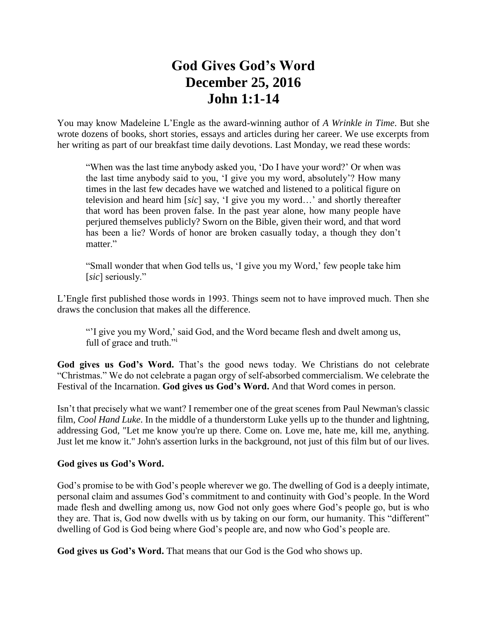## **God Gives God's Word December 25, 2016 John 1:1-14**

You may know Madeleine L'Engle as the award-winning author of *A Wrinkle in Time*. But she wrote dozens of books, short stories, essays and articles during her career. We use excerpts from her writing as part of our breakfast time daily devotions. Last Monday, we read these words:

"When was the last time anybody asked you, 'Do I have your word?' Or when was the last time anybody said to you, 'I give you my word, absolutely'? How many times in the last few decades have we watched and listened to a political figure on television and heard him [*sic*] say, 'I give you my word…' and shortly thereafter that word has been proven false. In the past year alone, how many people have perjured themselves publicly? Sworn on the Bible, given their word, and that word has been a lie? Words of honor are broken casually today, a though they don't matter."

"Small wonder that when God tells us, 'I give you my Word,' few people take him [*sic*] seriously."

L'Engle first published those words in 1993. Things seem not to have improved much. Then she draws the conclusion that makes all the difference.

"'I give you my Word,' said God, and the Word became flesh and dwelt among us, full of grace and truth."<sup>i</sup>

**God gives us God's Word.** That's the good news today. We Christians do not celebrate "Christmas." We do not celebrate a pagan orgy of self-absorbed commercialism. We celebrate the Festival of the Incarnation. **God gives us God's Word.** And that Word comes in person.

Isn't that precisely what we want? I remember one of the great scenes from Paul Newman's classic film, *Cool Hand Luke*. In the middle of a thunderstorm Luke yells up to the thunder and lightning, addressing God, "Let me know you're up there. Come on. Love me, hate me, kill me, anything. Just let me know it." John's assertion lurks in the background, not just of this film but of our lives.

## **God gives us God's Word.**

God's promise to be with God's people wherever we go. The dwelling of God is a deeply intimate, personal claim and assumes God's commitment to and continuity with God's people. In the Word made flesh and dwelling among us, now God not only goes where God's people go, but is who they are. That is, God now dwells with us by taking on our form, our humanity. This "different" dwelling of God is God being where God's people are, and now who God's people are.

**God gives us God's Word.** That means that our God is the God who shows up.